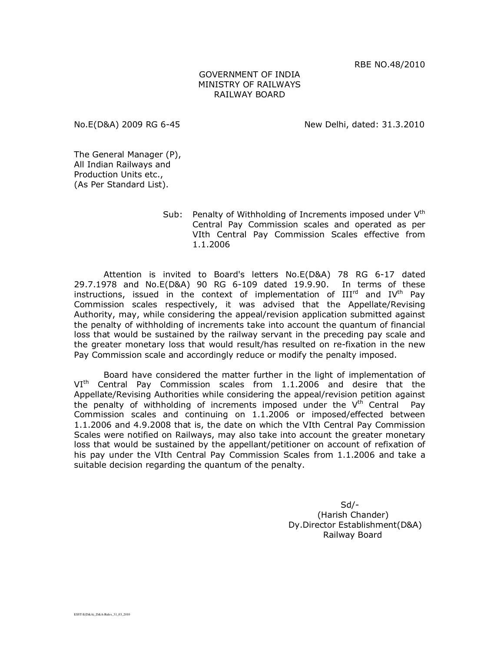RBE NO.48/2010

## GOVERNMENT OF INDIA MINISTRY OF RAILWAYS RAILWAY BOARD

No.E(D&A) 2009 RG 6-45 New Delhi, dated: 31.3.2010

The General Manager (P), All Indian Railways and Production Units etc., (As Per Standard List).

> Sub: Penalty of Withholding of Increments imposed under  $V<sup>th</sup>$ Central Pay Commission scales and operated as per VIth Central Pay Commission Scales effective from 1.1.2006

Attention is invited to Board's letters No.E(D&A) 78 RG 6-17 dated 29.7.1978 and No.E(D&A) 90 RG 6-109 dated 19.9.90. In terms of these instructions, issued in the context of implementation of  $III<sup>rd</sup>$  and  $IV<sup>th</sup>$  Pay Commission scales respectively, it was advised that the Appellate/Revising Authority, may, while considering the appeal/revision application submitted against the penalty of withholding of increments take into account the quantum of financial loss that would be sustained by the railway servant in the preceding pay scale and the greater monetary loss that would result/has resulted on re-fixation in the new Pay Commission scale and accordingly reduce or modify the penalty imposed.

Board have considered the matter further in the light of implementation of VI<sup>th</sup> Central Pay Commission scales from 1.1.2006 and desire that the Appellate/Revising Authorities while considering the appeal/revision petition against the penalty of withholding of increments imposed under the  $V^{th}$  Central Pay Commission scales and continuing on 1.1.2006 or imposed/effected between 1.1.2006 and 4.9.2008 that is, the date on which the VIth Central Pay Commission Scales were notified on Railways, may also take into account the greater monetary loss that would be sustained by the appellant/petitioner on account of refixation of his pay under the VIth Central Pay Commission Scales from 1.1.2006 and take a suitable decision regarding the quantum of the penalty.

 Sd/- (Harish Chander) Dy.Director Establishment(D&A) Railway Board